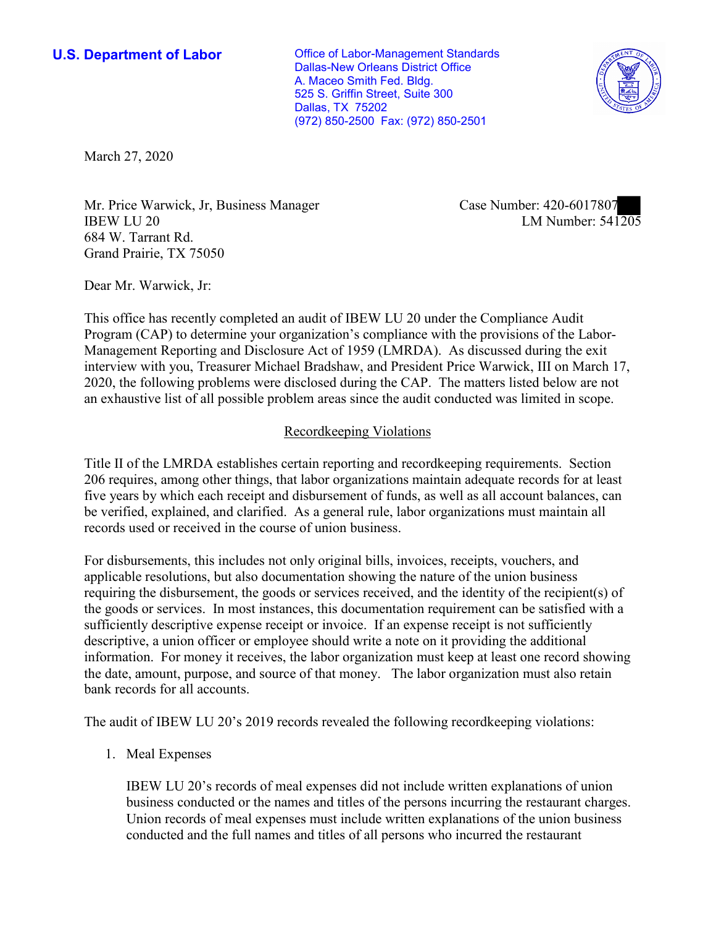**U.S. Department of Labor Conservative Conservative Conservative Conservative Conservative Conservative Conservative Conservative Conservative Conservative Conservative Conservative Conservative Conservative Conservative** Dallas-New Orleans District Office A. Maceo Smith Fed. Bldg. 525 S. Griffin Street, Suite 300 Dallas, TX 75202 (972) 850-2500 Fax: (972) 850-2501



March 27, 2020

Mr. Price Warwick, Jr. Business Manager<br>IBEW LU 20 LM Number: 541205 Mr. Price Warwick, Jr, Business Manager Case Number: 420-6017807 684 W. Tarrant Rd. Grand Prairie, TX 75050

Dear Mr. Warwick, Jr:

 This office has recently completed an audit of IBEW LU 20 under the Compliance Audit Program (CAP) to determine your organization's compliance with the provisions of the Labor-Management Reporting and Disclosure Act of 1959 (LMRDA). As discussed during the exit interview with you, Treasurer Michael Bradshaw, and President Price Warwick, III on March 17, 2020, the following problems were disclosed during the CAP. The matters listed below are not an exhaustive list of all possible problem areas since the audit conducted was limited in scope.

## Recordkeeping Violations

 Title II of the LMRDA establishes certain reporting and recordkeeping requirements. Section 206 requires, among other things, that labor organizations maintain adequate records for at least five years by which each receipt and disbursement of funds, as well as all account balances, can be verified, explained, and clarified. As a general rule, labor organizations must maintain all records used or received in the course of union business.

For disbursements, this includes not only original bills, invoices, receipts, vouchers, and applicable resolutions, but also documentation showing the nature of the union business requiring the disbursement, the goods or services received, and the identity of the recipient(s) of the goods or services. In most instances, this documentation requirement can be satisfied with a sufficiently descriptive expense receipt or invoice. If an expense receipt is not sufficiently descriptive, a union officer or employee should write a note on it providing the additional information. For money it receives, the labor organization must keep at least one record showing the date, amount, purpose, and source of that money. The labor organization must also retain bank records for all accounts.

The audit of IBEW LU 20's 2019 records revealed the following recordkeeping violations:

1. Meal Expenses

1. Meal Expenses IBEW LU 20's records of meal expenses did not include written explanations of union business conducted or the names and titles of the persons incurring the restaurant charges. Union records of meal expenses must include written explanations of the union business conducted and the full names and titles of all persons who incurred the restaurant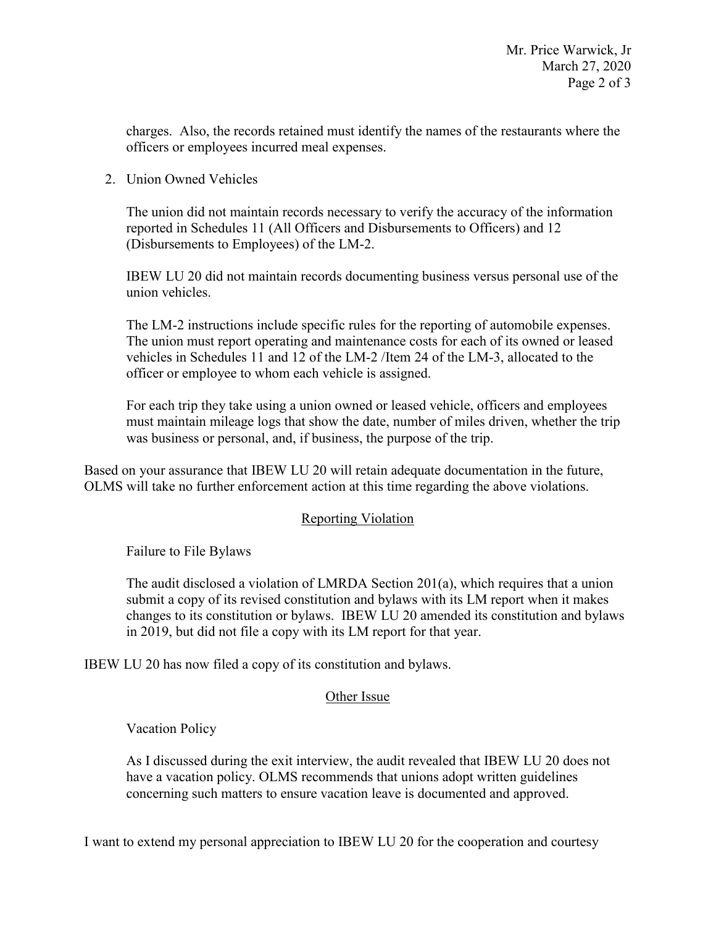charges. Also, the records retained must identify the names of the restaurants where the officers or employees incurred meal expenses.

2. Union Owned Vehicles

 (Disbursements to Employees) of the LM-2. The union did not maintain records necessary to verify the accuracy of the information reported in Schedules 11 (All Officers and Disbursements to Officers) and 12

IBEW LU 20 did not maintain records documenting business versus personal use of the union vehicles.

The LM-2 instructions include specific rules for the reporting of automobile expenses. The union must report operating and maintenance costs for each of its owned or leased vehicles in Schedules 11 and 12 of the LM-2 /Item 24 of the LM-3, allocated to the officer or employee to whom each vehicle is assigned.

 must maintain mileage logs that show the date, number of miles driven, whether the trip was business or personal, and, if business, the purpose of the trip. For each trip they take using a union owned or leased vehicle, officers and employees

Based on your assurance that IBEW LU 20 will retain adequate documentation in the future, OLMS will take no further enforcement action at this time regarding the above violations.

# Reporting Violation

Failure to File Bylaws

 changes to its constitution or bylaws. IBEW LU 20 amended its constitution and bylaws in 2019, but did not file a copy with its LM report for that year. The audit disclosed a violation of LMRDA Section 201(a), which requires that a union submit a copy of its revised constitution and bylaws with its LM report when it makes

IBEW LU 20 has now filed a copy of its constitution and bylaws.

### Other Issue

Vacation Policy

 As I discussed during the exit interview, the audit revealed that IBEW LU 20 does not have a vacation policy. OLMS recommends that unions adopt written guidelines concerning such matters to ensure vacation leave is documented and approved.

I want to extend my personal appreciation to IBEW LU 20 for the cooperation and courtesy